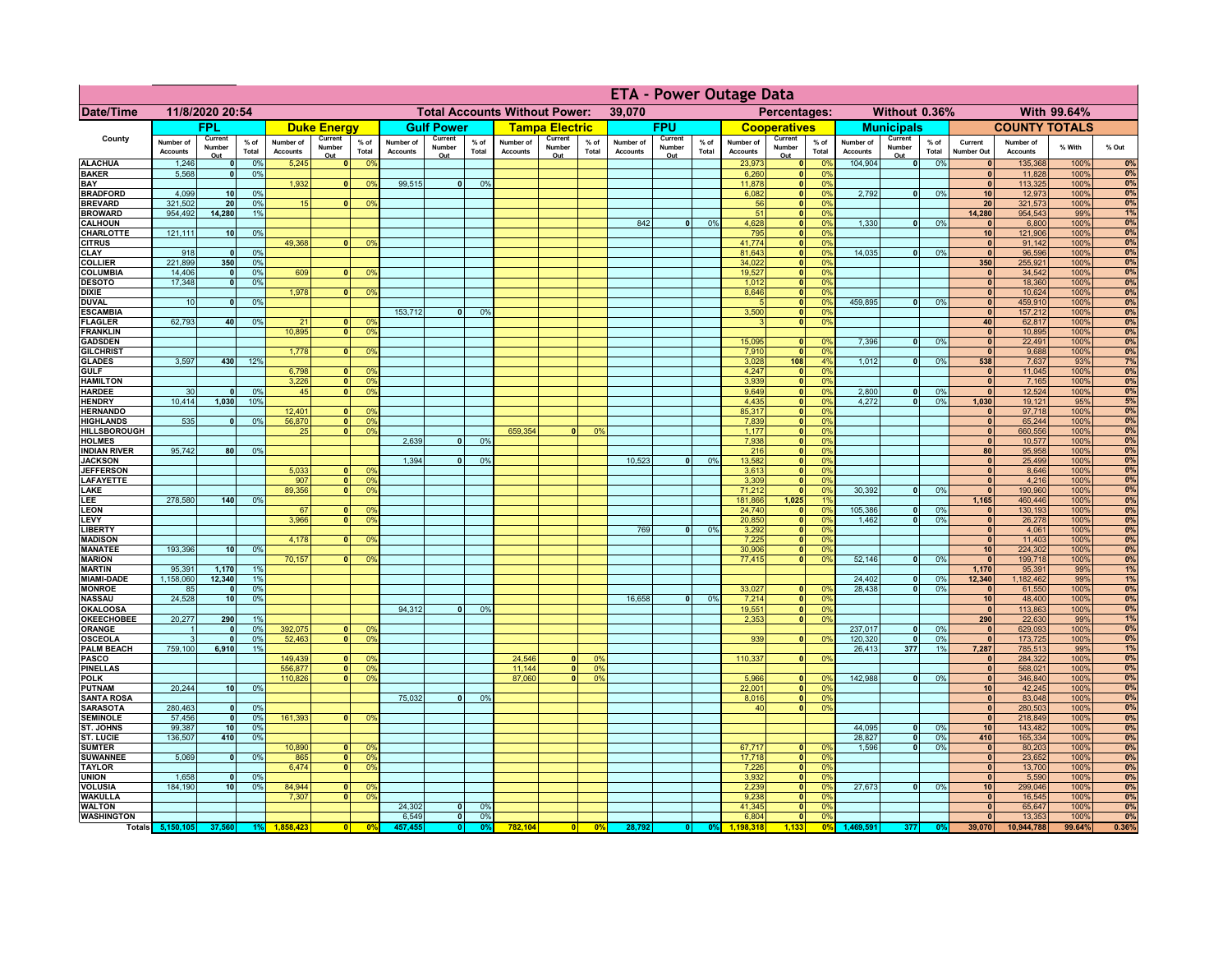|                                      |                              |                          |                 |                              |                                |                                                | <b>ETA - Power Outage Data</b> |                               |                      |                              |                                              |                 |                              |                          |                 |                              |                          |                                           |                              |                          |                 |                              |                              |              |          |
|--------------------------------------|------------------------------|--------------------------|-----------------|------------------------------|--------------------------------|------------------------------------------------|--------------------------------|-------------------------------|----------------------|------------------------------|----------------------------------------------|-----------------|------------------------------|--------------------------|-----------------|------------------------------|--------------------------|-------------------------------------------|------------------------------|--------------------------|-----------------|------------------------------|------------------------------|--------------|----------|
| <b>Date/Time</b>                     | 11/8/2020 20:54              |                          |                 |                              |                                | <b>Total Accounts Without Power:</b><br>39,070 |                                |                               |                      |                              | Without 0.36%<br>With 99.64%<br>Percentages: |                 |                              |                          |                 |                              |                          |                                           |                              |                          |                 |                              |                              |              |          |
|                                      |                              | FPL                      |                 |                              | <b>Duke Energy</b>             |                                                |                                | <b>Gulf Power</b>             |                      |                              | <b>Tampa Electric</b>                        |                 |                              | <b>FPU</b>               |                 |                              | <b>Cooperatives</b>      |                                           |                              | <b>Municipals</b>        |                 |                              | <b>COUNTY TOTALS</b>         |              |          |
| County                               | Number of<br><b>Accounts</b> | Current<br>Number<br>Out | $%$ of<br>Total | Number of<br><b>Accounts</b> | Current<br>Number<br>Out       | $%$ of<br><b>Total</b>                         | Number of<br><b>Accounts</b>   | Current<br>Number<br>Out      | % of<br>Total        | Number of<br><b>Accounts</b> | Current<br>Number<br>Out                     | $%$ of<br>Total | Number of<br><b>Accounts</b> | Current<br>Number<br>Out | $%$ of<br>Total | Number of<br><b>Accounts</b> | Current<br>Number<br>Out | $%$ of<br>Total                           | Number of<br><b>Accounts</b> | Current<br>Number<br>Out | $%$ of<br>Total | Current<br>Number Out        | Number of<br><b>Accounts</b> | % With       | % Out    |
| <b>ALACHUA</b>                       | 1,246                        | 0                        | 0%              | 5,245                        | 0                              | 0 <sup>9</sup>                                 |                                |                               |                      |                              |                                              |                 |                              |                          |                 | 23,973                       |                          | 0%<br> 0                                  | 104,904                      | $\overline{\bullet}$     | 0%              | 0                            | 135,368                      | 100%         | 0%       |
| <b>BAKER</b><br><b>BAY</b>           | 5,568                        | 0                        | 0%              | 1,932                        | 0                              | 0 <sup>9</sup>                                 | 99,515                         | $\overline{0}$                | 0%                   |                              |                                              |                 |                              |                          |                 | 6,260<br>11,878              |                          | 0%<br> 0 <br>0%<br> 0                     |                              |                          |                 | $\mathbf{0}$<br>$\Omega$     | 11,828<br>113,325            | 100%<br>100% | 0%<br>0% |
| <b>BRADFORD</b>                      | 4,099                        | 10                       | 0%              |                              |                                |                                                |                                |                               |                      |                              |                                              |                 |                              |                          |                 | 6,082                        |                          | 0 <br>0%                                  | 2,792                        | 0                        | 0%              | 10 <sup>1</sup>              | 12,973                       | 100%         | 0%       |
| <b>BREVARD</b>                       | 321,502                      | 20                       | 0%              | 15                           | 0                              | 0 <sup>9</sup>                                 |                                |                               |                      |                              |                                              |                 |                              |                          |                 | 56                           |                          | 0 <br>0%                                  |                              |                          |                 | 20 <sup>1</sup>              | 321,573                      | 100%         | 0%<br>1% |
| <b>BROWARD</b><br><b>CALHOUN</b>     | 954,492                      | 14,280                   | 1%              |                              |                                |                                                |                                |                               |                      |                              |                                              |                 | 842                          | $\bullet$                | 0%              | 51<br>4,628                  |                          | 0 <br>0%<br> 0 <br>0%                     | 1,330                        | 0                        | 0%              | 14,280<br>$\mathbf{0}$       | 954,543<br>6,800             | 99%<br>100%  | 0%       |
| <b>CHARLOTTE</b>                     | 121,111                      | 10                       | 0%              |                              |                                |                                                |                                |                               |                      |                              |                                              |                 |                              |                          |                 | 795                          | 0                        | 0%                                        |                              |                          |                 | 10                           | 121,906                      | 100%         | 0%       |
| <b>CITRUS</b><br>CLAY                | 918                          | $\mathbf{0}$             | 0%              | 49,368                       | $\mathbf{0}$                   | 0 <sup>9</sup>                                 |                                |                               |                      |                              |                                              |                 |                              |                          |                 | 41,774<br>81,643             | 0 <br> 0                 | 0%<br>0%                                  | 14,035                       | -ol                      | 0%              | $\mathbf{0}$<br>$\mathbf{0}$ | 91,142<br>96,596             | 100%<br>100% | 0%<br>0% |
| <b>COLLIER</b>                       | 221,899                      | 350                      | 0%              |                              |                                |                                                |                                |                               |                      |                              |                                              |                 |                              |                          |                 | 34,022                       | 0                        | 0%                                        |                              |                          |                 | 350                          | 255,921                      | 100%         | 0%       |
| <b>COLUMBIA</b>                      | 14,406                       | $\mathbf{0}$             | 0%              | 609                          |                                | 0 <sup>9</sup>                                 |                                |                               |                      |                              |                                              |                 |                              |                          |                 | 19,527                       | $\mathbf{0}$             | 0%                                        |                              |                          |                 | $\mathbf{0}$                 | 34,542                       | 100%         | 0%       |
| <b>DESOTO</b><br><b>DIXIE</b>        | 17,348                       | 0                        | 0%              | 1,978                        | $\mathbf{0}$                   | 0 <sup>9</sup>                                 |                                |                               |                      |                              |                                              |                 |                              |                          |                 | 1,012<br>8,646               | 0 <br> 0                 | 0%<br>0%                                  |                              |                          |                 | $\mathbf{0}$<br>$\mathbf{0}$ | 18,360<br>10,624             | 100%<br>100% | 0%<br>0% |
| <b>DUVAL</b>                         | 10                           | $\mathbf 0$              | 0%              |                              |                                |                                                |                                |                               |                      |                              |                                              |                 |                              |                          |                 |                              | 0                        | 0%                                        | 459,895                      | 0                        | 0%              | $\mathbf{0}$                 | 459,910                      | 100%         | 0%       |
| <b>ESCAMBIA</b>                      |                              |                          |                 |                              |                                |                                                | 153,712                        | $\mathbf{0}$                  | 0 <sup>9</sup>       |                              |                                              |                 |                              |                          |                 | 3,500                        | 0                        | 0%                                        |                              |                          |                 | $\mathbf{0}$                 | 157,212                      | 100%         | 0%       |
| <b>FLAGLER</b><br><b>FRANKLIN</b>    | 62,793                       | 40                       | 0%              | 21<br>10,895                 | $\mathbf{0}$<br>$\overline{0}$ | 0 <sup>9</sup><br>0 <sup>9</sup>               |                                |                               |                      |                              |                                              |                 |                              |                          |                 |                              | 0                        | 0%                                        |                              |                          |                 | 40<br>$\mathbf{0}$           | 62,817<br>10,895             | 100%<br>100% | 0%<br>0% |
| <b>GADSDEN</b>                       |                              |                          |                 |                              |                                |                                                |                                |                               |                      |                              |                                              |                 |                              |                          |                 | 15.095                       | 0                        | 0%                                        | 7,396                        | -ol                      | 0%              | 0                            | 22,491                       | 100%         | 0%       |
| <b>GILCHRIST</b>                     |                              |                          |                 | 1.778                        | 0                              | 0 <sup>9</sup>                                 |                                |                               |                      |                              |                                              |                 |                              |                          |                 | 7,910                        | 0                        | 0%                                        |                              |                          |                 | $\overline{0}$               | 9,688                        | 100%         | 0%       |
| <b>GLADES</b><br><b>GULF</b>         | 3,597                        | 430                      | 12%             | 6,798                        | 0                              | 0 <sup>9</sup>                                 |                                |                               |                      |                              |                                              |                 |                              |                          |                 | 3,028<br>4,247               | 108<br> 0                | 4%<br>0%                                  | 1,012                        | $\mathbf{0}$             | 0%              | 538<br> 0                    | 7,637<br>11,045              | 93%<br>100%  | 7%<br>0% |
| <b>HAMILTON</b>                      |                              |                          |                 | 3,226                        | $\overline{0}$                 | 0 <sup>9</sup>                                 |                                |                               |                      |                              |                                              |                 |                              |                          |                 | 3,939                        |                          | 0 <br>0%                                  |                              |                          |                 | 0                            | 7,165                        | 100%         | 0%       |
| <b>HARDEE</b>                        | 30                           | $\Omega$                 | 0 <sup>9</sup>  | 45                           | $\overline{0}$                 | 0 <sup>9</sup>                                 |                                |                               |                      |                              |                                              |                 |                              |                          |                 | 9,649                        |                          | 0 <br>0%                                  | 2,800                        | $\mathbf{0}$             | 0%              | $\Omega$                     | 12,524                       | 100%         | 0%       |
| <b>HENDRY</b><br><b>HERNANDO</b>     | 10,414                       | 1,030                    | 10%             | $12,40^{\circ}$              | $\mathbf{0}$                   | 0 <sup>9</sup>                                 |                                |                               |                      |                              |                                              |                 |                              |                          |                 | 4,435<br>85,317              |                          | 0 <br>0%<br>$\overline{\mathbf{0}}$<br>0% | 4.272                        | $\overline{0}$           | 0%              | 1,030<br>$\mathbf{0}$        | 19,121<br>97,718             | 95%<br>100%  | 5%<br>0% |
| <b>HIGHLANDS</b>                     | 535                          | $\mathbf{0}$             | 0 <sup>9</sup>  | 56,870                       | $\overline{0}$                 | 0 <sup>9</sup>                                 |                                |                               |                      |                              |                                              |                 |                              |                          |                 | 7,839                        |                          | $\overline{\mathbf{0}}$<br>0%             |                              |                          |                 | 0                            | 65,244                       | 100%         | 0%       |
| <b>HILLSBOROUGH</b>                  |                              |                          |                 | 25                           | 0 <sup>1</sup>                 | 0 <sup>9</sup>                                 |                                |                               |                      | 659,354                      |                                              | 0%              |                              |                          |                 | 1,177                        |                          | 0 <br>0%                                  |                              |                          |                 | $\mathbf{0}$                 | 660,556                      | 100%         | 0%       |
| <b>HOLMES</b><br><b>INDIAN RIVER</b> | 95,742                       | 80                       | 0%              |                              |                                |                                                | 2,639                          | $\mathbf{a}$                  | 0 <sup>9</sup>       |                              |                                              |                 |                              |                          |                 | 7,938                        |                          | 0 <br>0%<br> 0 <br>0%                     |                              |                          |                 | $\mathbf{0}$<br>80           | 10,577                       | 100%<br>100% | 0%<br>0% |
| <b>JACKSON</b>                       |                              |                          |                 |                              |                                |                                                | 1,394                          |                               | 0 <sup>9</sup>       |                              |                                              |                 | 10,523                       | $\Omega$                 | 0%              | 216<br>13,582                |                          | 0 <br>0%                                  |                              |                          |                 | 0                            | 95,958<br>25,499             | 100%         | 0%       |
| <b>JEFFERSON</b>                     |                              |                          |                 | 5,033                        | $\Omega$                       | 0 <sup>9</sup>                                 |                                |                               |                      |                              |                                              |                 |                              |                          |                 | 3,613                        |                          | 0 <br>0%                                  |                              |                          |                 | 0                            | 8,646                        | 100%         | 0%       |
| <b>LAFAYETTE</b><br>LAKE             |                              |                          |                 | 907<br>89,356                | $\mathbf{0}$<br> 0             | 0 <sup>9</sup><br>0 <sup>9</sup>               |                                |                               |                      |                              |                                              |                 |                              |                          |                 | 3,309<br>71,212              |                          | 0 <br>0%<br> 0 <br>0%                     | 30,392                       | $\mathbf{0}$             | 0%              | 0 <br>$\mathbf{0}$           | 4,216<br>190,960             | 100%<br>100% | 0%<br>0% |
| LEE                                  | 278,580                      | 140                      | 0%              |                              |                                |                                                |                                |                               |                      |                              |                                              |                 |                              |                          |                 | 181,866                      | 1,025                    | 1%                                        |                              |                          |                 | 1,165                        | 460,446                      | 100%         | 0%       |
| <b>LEON</b>                          |                              |                          |                 | 67                           | $\Omega$                       | $^{\circ}$                                     |                                |                               |                      |                              |                                              |                 |                              |                          |                 | 24,740                       | 0                        | 0%                                        | 105,386                      | $\overline{\mathbf{0}}$  | 0%              | $\mathbf{0}$                 | 130,193                      | 100%         | 0%       |
| LEVY<br>LIBERTY                      |                              |                          |                 | 3,966                        | 0                              | 0 <sup>9</sup>                                 |                                |                               |                      |                              |                                              |                 | 769                          | $\mathbf{0}$             | 0%              | 20,850                       |                          | 0 <br>0%<br> 0 <br>0%                     | 1,462                        | - O I                    | 0%              | 0 <br> 0                     | 26,278<br>4,061              | 100%<br>100% | 0%<br>0% |
| <b>MADISON</b>                       |                              |                          |                 | 4,178                        | $\mathbf{0}$                   | 0 <sup>9</sup>                                 |                                |                               |                      |                              |                                              |                 |                              |                          |                 | 3,292<br>7,225               |                          | 0%<br> 0                                  |                              |                          |                 | 0                            | 11,403                       | 100%         | 0%       |
| <b>MANATEE</b>                       | 193,396                      | 10 <sup>1</sup>          | 0%              |                              |                                |                                                |                                |                               |                      |                              |                                              |                 |                              |                          |                 | 30,906                       |                          | 0%<br> 0                                  |                              |                          |                 | 10 <sup>1</sup>              | 224,302                      | 100%         | 0%       |
| <b>MARION</b><br><b>MARTIN</b>       | 95,391                       | 1,170                    | 1%              | 70,157                       | 0                              | 0 <sup>9</sup>                                 |                                |                               |                      |                              |                                              |                 |                              |                          |                 | 77,415                       |                          | 0 <br>0%                                  | 52,146                       | 0                        | 0%              | 0 <br>1,170                  | 199,718<br>95,391            | 100%<br>99%  | 0%<br>1% |
| <b>MIAMI-DADE</b>                    | 1,158,060                    | 12,340                   | 1%              |                              |                                |                                                |                                |                               |                      |                              |                                              |                 |                              |                          |                 |                              |                          |                                           | 24,402                       | $\overline{\mathbf{0}}$  | 0%              | 12,340                       | 1,182,462                    | 99%          | 1%       |
| <b>MONROE</b>                        | 85                           | $\Omega$                 | 0%              |                              |                                |                                                |                                |                               |                      |                              |                                              |                 |                              |                          |                 | 33,027                       |                          | 0 <br>$\Omega$ %                          | 28,438                       | - O I                    | 0%              | 0                            | 61,550                       | 100%         | 0%       |
| <b>NASSAU</b><br><b>OKALOOSA</b>     | 24,528                       | 10                       | 0%              |                              |                                |                                                | 94,312                         | 0                             | 0%                   |                              |                                              |                 | 16,658                       | 0                        | 0%              | 7,214<br>19,551              |                          | 0%<br> 0 <br>0%                           |                              |                          |                 | 10                           | 48,400<br>113,863            | 100%<br>100% | 0%<br>0% |
| <b>OKEECHOBEE</b>                    | 20,277                       | 290                      | 1%              |                              |                                |                                                |                                |                               |                      |                              |                                              |                 |                              |                          |                 | 2,353                        |                          | 0 <br>0%<br> 0                            |                              |                          |                 | 0 <br>290                    | 22,630                       | 99%          | 1%       |
| ORANGE                               | $\overline{1}$               | $\mathbf{0}$             | 0%              | 392,075                      | 0                              | 0 <sup>9</sup>                                 |                                |                               |                      |                              |                                              |                 |                              |                          |                 |                              |                          |                                           | 237,017                      | 0                        | 0%              | 0                            | 629,093                      | 100%         | 0%       |
| OSCEOLA                              | $\mathbf{3}$<br>759,100      | - O I<br>6,910           | 0%<br>1%        | 52,463                       | 0                              | 0 <sup>9</sup>                                 |                                |                               |                      |                              |                                              |                 |                              |                          |                 | 939                          |                          | 0 <br>0%                                  | 120,320<br>26,413            | $\mathbf{0}$<br>377      | 0%<br>1%        | 0 <br>7,287                  | 173,725                      | 100%         | 0%<br>1% |
| <b>PALM BEACH</b><br><b>PASCO</b>    |                              |                          |                 | 149,439                      | 0                              | 0 <sup>9</sup>                                 |                                |                               |                      | 24,546                       | $\Omega$                                     | 0 <sup>9</sup>  |                              |                          |                 | 110,337                      |                          | 0 <br>0%                                  |                              |                          |                 | 0                            | 785,513<br>284,322           | 99%<br>100%  | 0%       |
| <b>PINELLAS</b>                      |                              |                          |                 | 556,877                      | 0                              | 0 <sup>9</sup>                                 |                                |                               |                      | 11,144                       | $\mathbf{0}$                                 | 0%              |                              |                          |                 |                              |                          |                                           |                              |                          |                 | 0                            | 568,021                      | 100%         | 0%       |
| <b>POLK</b>                          |                              |                          |                 | 110,826                      | $\overline{0}$                 | 0 <sup>9</sup>                                 |                                |                               |                      | 87,060                       | $\mathbf{0}$                                 | 0%              |                              |                          |                 | 5,966                        |                          | 0 <br>nº                                  | 142,988                      | 0                        | 0%              | 0                            | 346,840                      | 100%         | 0%<br>0% |
| PUTNAM<br><b>SANTA ROSA</b>          | 20,244                       | 10 <sup>1</sup>          | 0%              |                              |                                |                                                | 75,032                         | 0                             | 0%                   |                              |                                              |                 |                              |                          |                 | 22,001<br>8,016              |                          | 0 <br>0%<br> 0 <br>0%                     |                              |                          |                 | 10 <sup>1</sup><br> 0        | 42,245<br>83,048             | 100%<br>100% | 0%       |
| <b>SARASOTA</b>                      | 280,463                      | $\mathbf{0}$             | 0%              |                              |                                |                                                |                                |                               |                      |                              |                                              |                 |                              |                          |                 | 40                           |                          | 0 <br>0%                                  |                              |                          |                 | 0                            | 280,503                      | 100%         | 0%       |
| <b>SEMINOLE</b><br>ST. JOHNS         | 57,456<br>99,387             | $\mathbf{o}$             | 0%              | 161,393                      | $\Omega$                       | 0 <sup>9</sup>                                 |                                |                               |                      |                              |                                              |                 |                              |                          |                 |                              |                          |                                           | 44,095                       | $\mathbf{0}$             | 0%              | 0 <br>10                     | 218,849                      | 100%<br>100% | 0%       |
| <b>ST. LUCIE</b>                     | 136,507                      | 10 <sup>1</sup><br>410   | 0%<br>0%        |                              |                                |                                                |                                |                               |                      |                              |                                              |                 |                              |                          |                 |                              |                          |                                           | 28,827                       | $\mathbf{0}$             | 0%              | 410                          | 143,482<br>165,334           | 100%         | 0%<br>0% |
| <b>SUMTER</b>                        |                              |                          |                 | 10,890                       |                                | $\Omega$                                       |                                |                               |                      |                              |                                              |                 |                              |                          |                 | 67,717                       | 0                        | nº                                        | 1,596                        | -ol                      | 0%              | 0                            | 80,203                       | 100%         | 0%       |
| <b>SUWANNEE</b>                      | 5,069                        | $\mathbf{0}$             | 0%              | 865                          | $\mathbf{0}$<br>$\mathbf{0}$   | 0 <sup>9</sup><br>0 <sup>9</sup>               |                                |                               |                      |                              |                                              |                 |                              |                          |                 | 17,718                       | 0                        | 0%<br>0%                                  |                              |                          |                 | $\mathbf{0}$<br>$\mathbf{0}$ | 23,652                       | 100%         | 0%       |
| <b>TAYLOR</b><br><b>UNION</b>        | 1,658                        | $\mathbf{0}$             | 0 <sup>9</sup>  | 6,474                        |                                |                                                |                                |                               |                      |                              |                                              |                 |                              |                          |                 | 7,226<br>3,932               | 0 <br> 0                 | 0%                                        |                              |                          |                 | $\mathbf{0}$                 | 13,700<br>5,590              | 100%<br>100% | 0%<br>0% |
| <b>VOLUSIA</b>                       | 184,190                      | 10 <sup>1</sup>          | 0%              | 84,944                       |                                | 0 <sup>9</sup>                                 |                                |                               |                      |                              |                                              |                 |                              |                          |                 | 2,239                        |                          | 0 <br>0%                                  | 27,673                       | 0                        | 0%              | 10                           | 299,046                      | 100%         | 0%       |
| <b>WAKULLA</b>                       |                              |                          |                 | 7,307                        | $\mathbf{0}$                   | 0 <sup>9</sup>                                 | 24,302                         |                               |                      |                              |                                              |                 |                              |                          |                 | 9,238<br>41,345              |                          | 0%<br> 0 <br>0%                           |                              |                          |                 | $\mathbf{0}$<br> 0           | 16,545<br>65,647             | 100%<br>100% | 0%       |
| <b>WALTON</b><br><b>WASHINGTON</b>   |                              |                          |                 |                              |                                |                                                | 6,549                          | 0 <br>$\overline{\mathbf{0}}$ | 0 <sup>9</sup><br>0% |                              |                                              |                 |                              |                          |                 | 6,804                        |                          | 0 <br>0%<br> 0                            |                              |                          |                 | $\overline{0}$               | 13,353                       | 100%         | 0%<br>0% |
|                                      | Totals 5,150,105             | 37,560                   |                 | 1858423                      | $\mathbf{0}$                   | 0 <sup>0</sup>                                 | 457,455                        | 0                             | 0 <sup>9</sup>       | 782,104                      | 0                                            | 0%              | 28,792                       | 0                        | 0%              | 1.198.318                    | 1.133                    | 0%                                        | 1,469,591                    | 377                      |                 | 39,070                       | 10,944,788                   | 99.64%       | 0.36%    |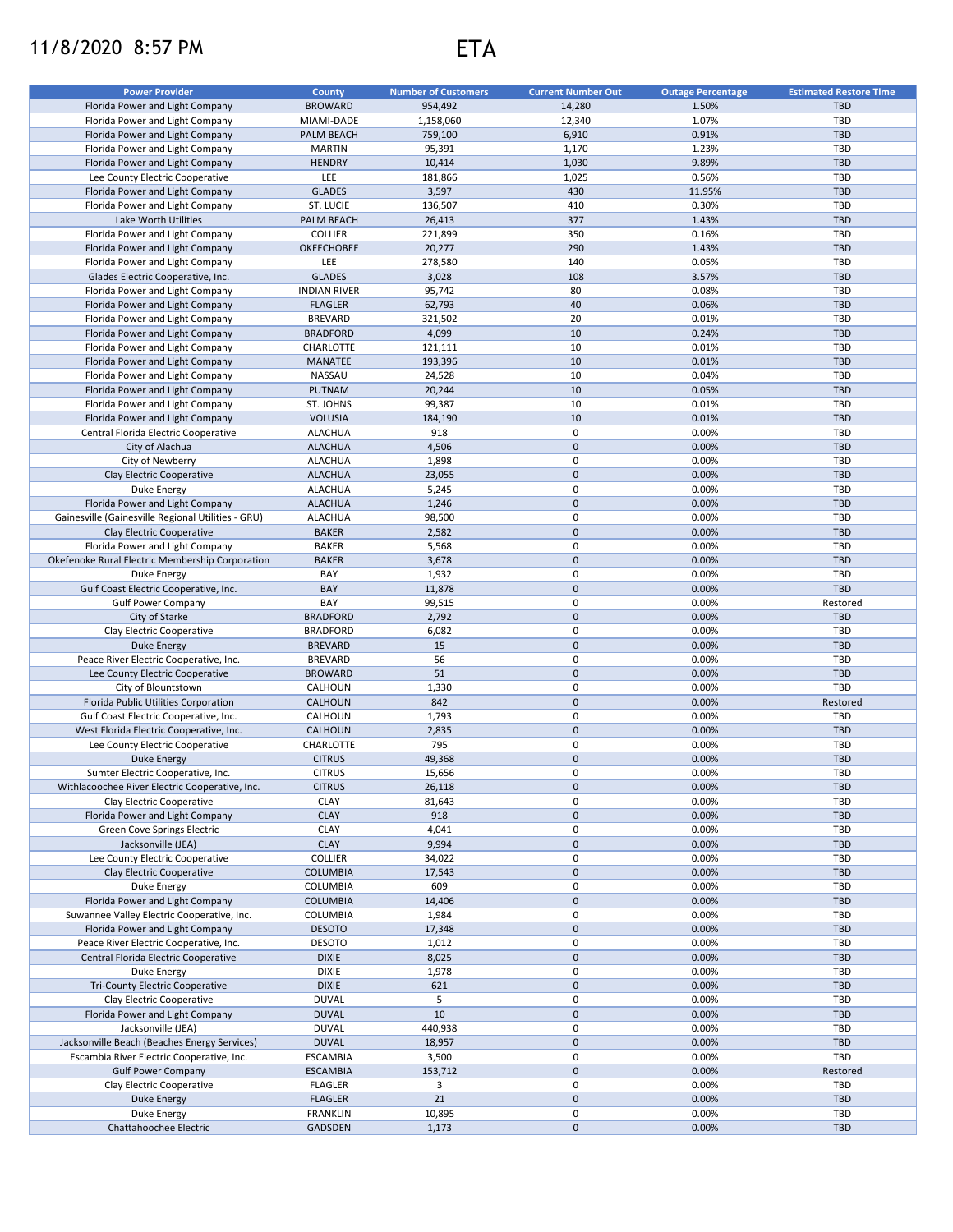## 11/8/2020 8:57 PM ETA

| <b>Power Provider</b>                              | County              | <b>Number of Customers</b> | <b>Current Number Out</b> | <b>Outage Percentage</b> | <b>Estimated Restore Time</b> |
|----------------------------------------------------|---------------------|----------------------------|---------------------------|--------------------------|-------------------------------|
| Florida Power and Light Company                    | <b>BROWARD</b>      | 954,492                    | 14,280                    | 1.50%                    | <b>TBD</b>                    |
| Florida Power and Light Company                    | MIAMI-DADE          | 1.158.060                  | 12,340                    | 1.07%                    | TBD                           |
| Florida Power and Light Company                    | PALM BEACH          | 759,100                    | 6,910                     | 0.91%                    | <b>TBD</b>                    |
| Florida Power and Light Company                    | <b>MARTIN</b>       | 95,391                     | 1,170                     | 1.23%                    | TBD                           |
| Florida Power and Light Company                    | <b>HENDRY</b>       | 10,414                     | 1,030                     | 9.89%                    | <b>TBD</b>                    |
| Lee County Electric Cooperative                    | LEE                 | 181,866                    | 1,025                     | 0.56%                    | TBD                           |
| Florida Power and Light Company                    | <b>GLADES</b>       | 3,597                      | 430                       | 11.95%                   | <b>TBD</b>                    |
| Florida Power and Light Company                    | ST. LUCIE           | 136,507                    | 410                       | 0.30%                    | <b>TBD</b>                    |
| Lake Worth Utilities                               | PALM BEACH          | 26,413                     | 377                       | 1.43%                    | <b>TBD</b>                    |
| Florida Power and Light Company                    | <b>COLLIER</b>      | 221,899                    | 350                       | 0.16%                    | TBD                           |
| Florida Power and Light Company                    | OKEECHOBEE          | 20,277                     | 290                       | 1.43%                    | <b>TBD</b>                    |
| Florida Power and Light Company                    | LEE                 | 278,580                    | 140                       | 0.05%                    | <b>TBD</b>                    |
|                                                    |                     |                            | 108                       |                          | <b>TBD</b>                    |
| Glades Electric Cooperative, Inc.                  | <b>GLADES</b>       | 3,028                      |                           | 3.57%                    |                               |
| Florida Power and Light Company                    | <b>INDIAN RIVER</b> | 95,742                     | 80                        | 0.08%                    | TBD                           |
| Florida Power and Light Company                    | <b>FLAGLER</b>      | 62,793                     | 40                        | 0.06%                    | <b>TBD</b>                    |
| Florida Power and Light Company                    | <b>BREVARD</b>      | 321,502                    | 20                        | 0.01%                    | TBD                           |
| Florida Power and Light Company                    | <b>BRADFORD</b>     | 4,099                      | 10                        | 0.24%                    | <b>TBD</b>                    |
| Florida Power and Light Company                    | CHARLOTTE           | 121,111                    | 10                        | 0.01%                    | TBD                           |
| Florida Power and Light Company                    | <b>MANATEE</b>      | 193,396                    | 10                        | 0.01%                    | <b>TBD</b>                    |
| Florida Power and Light Company                    | NASSAU              | 24,528                     | 10                        | 0.04%                    | TBD                           |
| Florida Power and Light Company                    | <b>PUTNAM</b>       | 20,244                     | 10                        | 0.05%                    | <b>TBD</b>                    |
| Florida Power and Light Company                    | ST. JOHNS           | 99,387                     | 10                        | 0.01%                    | TBD                           |
| Florida Power and Light Company                    | <b>VOLUSIA</b>      | 184,190                    | 10                        | 0.01%                    | <b>TBD</b>                    |
|                                                    |                     |                            |                           |                          |                               |
| Central Florida Electric Cooperative               | <b>ALACHUA</b>      | 918                        | 0                         | 0.00%                    | TBD                           |
| City of Alachua                                    | <b>ALACHUA</b>      | 4,506                      | $\mathbf 0$               | 0.00%                    | <b>TBD</b>                    |
| City of Newberry                                   | <b>ALACHUA</b>      | 1,898                      | $\mathbf 0$               | 0.00%                    | TBD                           |
| Clay Electric Cooperative                          | <b>ALACHUA</b>      | 23,055                     | $\mathbf 0$               | 0.00%                    | <b>TBD</b>                    |
| Duke Energy                                        | <b>ALACHUA</b>      | 5,245                      | 0                         | 0.00%                    | TBD                           |
| Florida Power and Light Company                    | <b>ALACHUA</b>      | 1,246                      | $\mathbf 0$               | 0.00%                    | <b>TBD</b>                    |
| Gainesville (Gainesville Regional Utilities - GRU) | <b>ALACHUA</b>      | 98,500                     | $\pmb{0}$                 | 0.00%                    | TBD                           |
| Clay Electric Cooperative                          | <b>BAKER</b>        | 2,582                      | $\mathbf 0$               | 0.00%                    | <b>TBD</b>                    |
| Florida Power and Light Company                    | <b>BAKER</b>        | 5,568                      | $\mathsf 0$               | 0.00%                    | TBD                           |
| Okefenoke Rural Electric Membership Corporation    | <b>BAKER</b>        | 3,678                      | $\mathbf 0$               | 0.00%                    | <b>TBD</b>                    |
| Duke Energy                                        | BAY                 | 1,932                      | $\pmb{0}$                 | 0.00%                    | TBD                           |
| Gulf Coast Electric Cooperative, Inc.              | BAY                 | 11,878                     | $\mathsf{O}\xspace$       | 0.00%                    | <b>TBD</b>                    |
|                                                    |                     |                            |                           |                          |                               |
| <b>Gulf Power Company</b>                          | BAY                 | 99,515                     | $\mathsf 0$               | 0.00%                    | Restored                      |
| City of Starke                                     | <b>BRADFORD</b>     | 2,792                      | $\mathbf 0$               | 0.00%                    | <b>TBD</b>                    |
| Clay Electric Cooperative                          | <b>BRADFORD</b>     | 6,082                      | 0                         | 0.00%                    | <b>TBD</b>                    |
| <b>Duke Energy</b>                                 | <b>BREVARD</b>      | 15                         | $\mathsf{O}\xspace$       | 0.00%                    | <b>TBD</b>                    |
| Peace River Electric Cooperative, Inc.             | <b>BREVARD</b>      | 56                         | 0                         | 0.00%                    | <b>TBD</b>                    |
| Lee County Electric Cooperative                    | <b>BROWARD</b>      | 51                         | $\mathbf 0$               | 0.00%                    | <b>TBD</b>                    |
| City of Blountstown                                | CALHOUN             | 1,330                      | 0                         | 0.00%                    | <b>TBD</b>                    |
| Florida Public Utilities Corporation               | <b>CALHOUN</b>      | 842                        | $\mathbf 0$               | 0.00%                    | Restored                      |
| Gulf Coast Electric Cooperative, Inc.              | CALHOUN             | 1,793                      | 0                         | 0.00%                    | <b>TBD</b>                    |
| West Florida Electric Cooperative, Inc.            | CALHOUN             | 2,835                      | $\mathbf 0$               | 0.00%                    | <b>TBD</b>                    |
| Lee County Electric Cooperative                    | CHARLOTTE           | 795                        | 0                         | 0.00%                    | TBD                           |
| Duke Energy                                        | <b>CITRUS</b>       | 49,368                     | $\pmb{0}$                 | 0.00%                    | <b>TBD</b>                    |
|                                                    |                     |                            | $\Omega$                  |                          |                               |
| Sumter Electric Cooperative, Inc.                  | <b>CITRUS</b>       | 15,656                     |                           | 0.00%                    | TBD                           |
| Withlacoochee River Electric Cooperative, Inc.     | <b>CITRUS</b>       | 26,118                     | $\mathbf 0$               | 0.00%                    | TBD                           |
| Clay Electric Cooperative                          | <b>CLAY</b>         | 81,643                     | 0                         | 0.00%                    | TBD                           |
| Florida Power and Light Company                    | <b>CLAY</b>         | 918                        | $\mathbf 0$               | 0.00%                    | TBD                           |
| Green Cove Springs Electric                        | CLAY                | 4,041                      | 0                         | 0.00%                    | TBD                           |
| Jacksonville (JEA)                                 | <b>CLAY</b>         | 9,994                      | $\mathsf{O}\xspace$       | 0.00%                    | <b>TBD</b>                    |
| Lee County Electric Cooperative                    | <b>COLLIER</b>      | 34,022                     | 0                         | 0.00%                    | TBD                           |
| Clay Electric Cooperative                          | <b>COLUMBIA</b>     | 17,543                     | $\mathbf 0$               | 0.00%                    | <b>TBD</b>                    |
| Duke Energy                                        | COLUMBIA            | 609                        | 0                         | 0.00%                    | <b>TBD</b>                    |
| Florida Power and Light Company                    | COLUMBIA            | 14,406                     | $\mathbf 0$               | 0.00%                    | TBD                           |
| Suwannee Valley Electric Cooperative, Inc.         | COLUMBIA            | 1,984                      | 0                         | 0.00%                    | TBD                           |
| Florida Power and Light Company                    | <b>DESOTO</b>       |                            | $\pmb{0}$                 | 0.00%                    | <b>TBD</b>                    |
|                                                    |                     | 17,348                     |                           |                          |                               |
| Peace River Electric Cooperative, Inc.             | <b>DESOTO</b>       | 1,012                      | 0                         | 0.00%                    | <b>TBD</b>                    |
| Central Florida Electric Cooperative               | <b>DIXIE</b>        | 8,025                      | $\mathsf{O}\xspace$       | 0.00%                    | TBD                           |
| Duke Energy                                        | <b>DIXIE</b>        | 1,978                      | 0                         | 0.00%                    | <b>TBD</b>                    |
| <b>Tri-County Electric Cooperative</b>             | <b>DIXIE</b>        | 621                        | $\pmb{0}$                 | 0.00%                    | TBD                           |
| Clay Electric Cooperative                          | <b>DUVAL</b>        | 5                          | 0                         | 0.00%                    | <b>TBD</b>                    |
| Florida Power and Light Company                    | <b>DUVAL</b>        | 10                         | $\mathsf{O}\xspace$       | 0.00%                    | TBD                           |
| Jacksonville (JEA)                                 | <b>DUVAL</b>        | 440,938                    | 0                         | 0.00%                    | <b>TBD</b>                    |
| Jacksonville Beach (Beaches Energy Services)       | <b>DUVAL</b>        | 18,957                     | $\mathbf 0$               | 0.00%                    | <b>TBD</b>                    |
| Escambia River Electric Cooperative, Inc.          | <b>ESCAMBIA</b>     | 3,500                      | $\pmb{0}$                 | 0.00%                    | TBD                           |
| <b>Gulf Power Company</b>                          | ESCAMBIA            | 153,712                    | $\mathbf 0$               | 0.00%                    | Restored                      |
| Clay Electric Cooperative                          | <b>FLAGLER</b>      | 3                          | 0                         | 0.00%                    | TBD                           |
|                                                    |                     |                            |                           |                          |                               |
| Duke Energy                                        | <b>FLAGLER</b>      | 21                         | $\mathbf 0$               | 0.00%                    | <b>TBD</b>                    |
| Duke Energy                                        | <b>FRANKLIN</b>     | 10,895                     | 0                         | 0.00%                    | TBD                           |
| Chattahoochee Electric                             | GADSDEN             | 1,173                      | $\mathbf 0$               | 0.00%                    | TBD                           |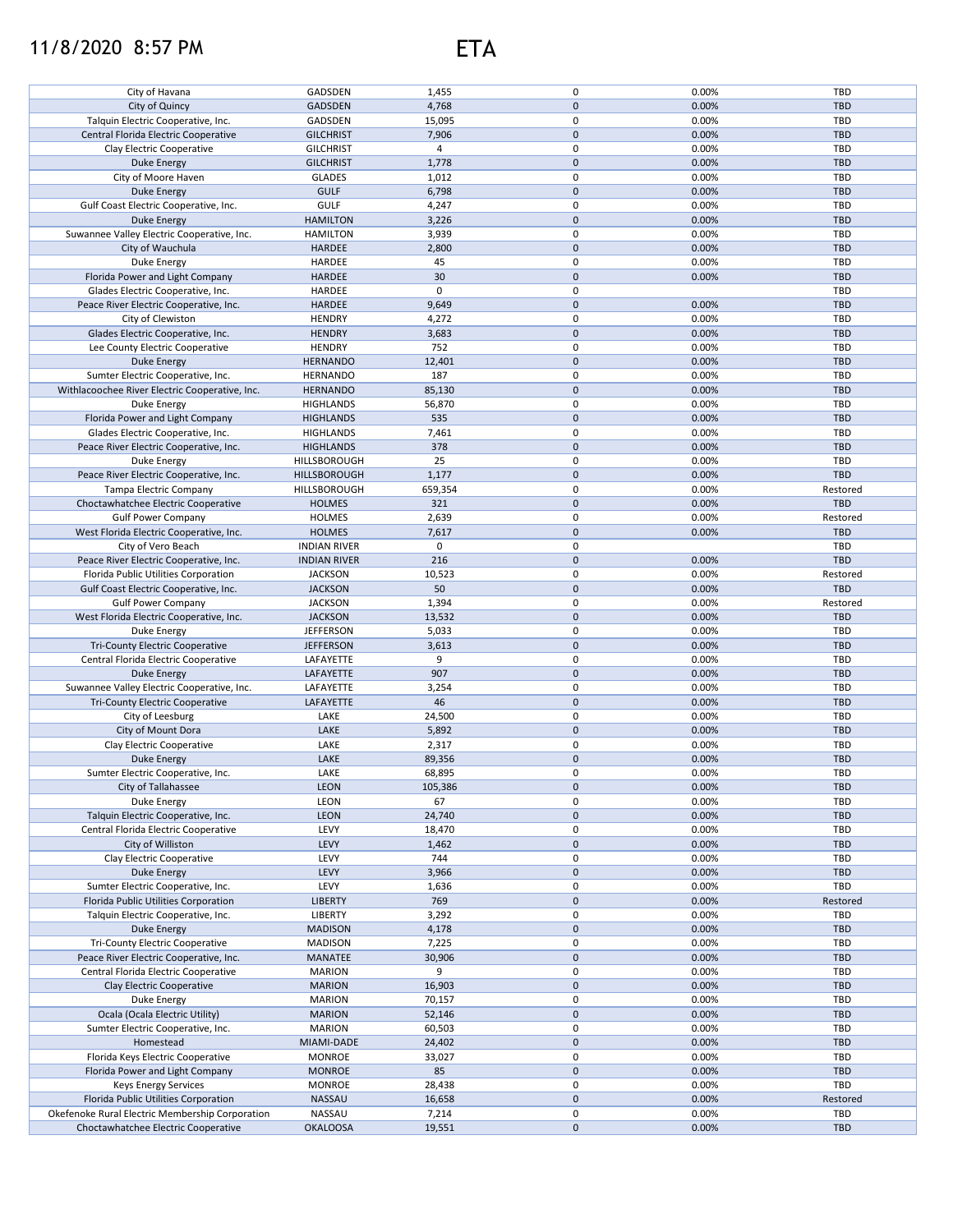## 11/8/2020 8:57 PM ETA

| City of Havana                                  | GADSDEN             | 1,455     | 0            | 0.00% | TBD        |
|-------------------------------------------------|---------------------|-----------|--------------|-------|------------|
| City of Quincy                                  | <b>GADSDEN</b>      | 4,768     | $\mathbf 0$  | 0.00% | <b>TBD</b> |
|                                                 |                     |           |              |       |            |
| Talquin Electric Cooperative, Inc.              | GADSDEN             | 15,095    | 0            | 0.00% | TBD        |
| Central Florida Electric Cooperative            | <b>GILCHRIST</b>    | 7,906     | $\mathbf 0$  | 0.00% | <b>TBD</b> |
| Clay Electric Cooperative                       | <b>GILCHRIST</b>    | 4         | 0            | 0.00% | <b>TBD</b> |
|                                                 |                     |           |              |       |            |
| <b>Duke Energy</b>                              | <b>GILCHRIST</b>    | 1,778     | $\mathbf 0$  | 0.00% | <b>TBD</b> |
| City of Moore Haven                             | <b>GLADES</b>       | 1,012     | 0            | 0.00% | <b>TBD</b> |
| <b>Duke Energy</b>                              | <b>GULF</b>         | 6,798     | $\mathbf 0$  | 0.00% | <b>TBD</b> |
|                                                 |                     |           |              |       |            |
| Gulf Coast Electric Cooperative, Inc.           | <b>GULF</b>         | 4,247     | 0            | 0.00% | <b>TBD</b> |
| <b>Duke Energy</b>                              | <b>HAMILTON</b>     | 3,226     | 0            | 0.00% | <b>TBD</b> |
| Suwannee Valley Electric Cooperative, Inc.      | <b>HAMILTON</b>     | 3,939     | 0            | 0.00% | TBD        |
|                                                 |                     |           |              |       |            |
| City of Wauchula                                | <b>HARDEE</b>       | 2,800     | $\mathbf 0$  | 0.00% | <b>TBD</b> |
| Duke Energy                                     | <b>HARDEE</b>       | 45        | 0            | 0.00% | <b>TBD</b> |
| Florida Power and Light Company                 | <b>HARDEE</b>       | 30        | 0            | 0.00% | <b>TBD</b> |
|                                                 |                     |           |              |       |            |
| Glades Electric Cooperative, Inc.               | <b>HARDEE</b>       | $\pmb{0}$ | $\mathsf 0$  |       | <b>TBD</b> |
| Peace River Electric Cooperative, Inc.          | <b>HARDEE</b>       | 9,649     | $\mathbf 0$  | 0.00% | <b>TBD</b> |
| City of Clewiston                               | <b>HENDRY</b>       | 4,272     | 0            | 0.00% | <b>TBD</b> |
|                                                 |                     |           |              |       |            |
| Glades Electric Cooperative, Inc.               | <b>HENDRY</b>       | 3,683     | $\mathbf 0$  | 0.00% | <b>TBD</b> |
| Lee County Electric Cooperative                 | <b>HENDRY</b>       | 752       | $\mathsf 0$  | 0.00% | <b>TBD</b> |
| <b>Duke Energy</b>                              | <b>HERNANDO</b>     | 12,401    | $\mathbf 0$  | 0.00% | <b>TBD</b> |
|                                                 |                     |           |              |       |            |
| Sumter Electric Cooperative, Inc.               | HERNANDO            | 187       | $\mathsf 0$  | 0.00% | TBD        |
| Withlacoochee River Electric Cooperative, Inc.  | <b>HERNANDO</b>     | 85,130    | $\pmb{0}$    | 0.00% | <b>TBD</b> |
| Duke Energy                                     | <b>HIGHLANDS</b>    | 56,870    | $\mathsf 0$  | 0.00% | TBD        |
|                                                 |                     |           |              |       |            |
| Florida Power and Light Company                 | <b>HIGHLANDS</b>    | 535       | $\pmb{0}$    | 0.00% | <b>TBD</b> |
| Glades Electric Cooperative, Inc.               | <b>HIGHLANDS</b>    | 7,461     | 0            | 0.00% | TBD        |
| Peace River Electric Cooperative, Inc.          | <b>HIGHLANDS</b>    | 378       | $\pmb{0}$    | 0.00% | <b>TBD</b> |
|                                                 |                     |           |              |       |            |
| Duke Energy                                     | HILLSBOROUGH        | 25        | 0            | 0.00% | TBD        |
| Peace River Electric Cooperative, Inc.          | HILLSBOROUGH        | 1,177     | $\mathbf 0$  | 0.00% | TBD        |
| <b>Tampa Electric Company</b>                   |                     |           | 0            |       |            |
|                                                 | HILLSBOROUGH        | 659,354   |              | 0.00% | Restored   |
| Choctawhatchee Electric Cooperative             | <b>HOLMES</b>       | 321       | $\mathbf 0$  | 0.00% | TBD        |
| <b>Gulf Power Company</b>                       | <b>HOLMES</b>       | 2,639     | 0            | 0.00% | Restored   |
|                                                 |                     |           |              |       |            |
| West Florida Electric Cooperative, Inc.         | <b>HOLMES</b>       | 7,617     | $\mathbf 0$  | 0.00% | <b>TBD</b> |
| City of Vero Beach                              | <b>INDIAN RIVER</b> | 0         | $\mathsf 0$  |       | TBD        |
| Peace River Electric Cooperative, Inc.          | <b>INDIAN RIVER</b> | 216       | $\mathbf{0}$ | 0.00% | TBD        |
|                                                 |                     |           |              |       |            |
| Florida Public Utilities Corporation            | <b>JACKSON</b>      | 10,523    | $\mathsf 0$  | 0.00% | Restored   |
| Gulf Coast Electric Cooperative, Inc.           | <b>JACKSON</b>      | 50        | 0            | 0.00% | <b>TBD</b> |
| <b>Gulf Power Company</b>                       | <b>JACKSON</b>      | 1,394     | $\mathbf 0$  | 0.00% | Restored   |
|                                                 |                     |           |              |       |            |
| West Florida Electric Cooperative, Inc.         | <b>JACKSON</b>      | 13,532    | 0            | 0.00% | <b>TBD</b> |
| Duke Energy                                     | <b>JEFFERSON</b>    | 5,033     | 0            | 0.00% | TBD        |
| <b>Tri-County Electric Cooperative</b>          | <b>JEFFERSON</b>    | 3,613     | $\mathbf 0$  | 0.00% | <b>TBD</b> |
|                                                 |                     |           |              |       |            |
| Central Florida Electric Cooperative            | LAFAYETTE           | 9         | 0            | 0.00% | TBD        |
| <b>Duke Energy</b>                              | LAFAYETTE           | 907       | $\mathbf 0$  | 0.00% | <b>TBD</b> |
|                                                 | LAFAYETTE           | 3,254     | 0            | 0.00% | TBD        |
| Suwannee Valley Electric Cooperative, Inc.      |                     |           |              |       |            |
| <b>Tri-County Electric Cooperative</b>          | LAFAYETTE           | 46        | $\mathbf 0$  | 0.00% | <b>TBD</b> |
| City of Leesburg                                | LAKE                | 24,500    | $\mathsf 0$  | 0.00% | TBD        |
|                                                 | LAKE                |           | $\mathbf 0$  | 0.00% | <b>TBD</b> |
| City of Mount Dora                              |                     | 5,892     |              |       |            |
| Clay Electric Cooperative                       | LAKE                | 2,317     | 0            | 0.00% | TBD        |
| <b>Duke Energy</b>                              | LAKE                | 89,356    | $\mathbf 0$  | 0.00% | <b>TBD</b> |
|                                                 |                     |           |              |       |            |
| Sumter Electric Cooperative, Inc.               | LAKE                | 68,895    | $\Omega$     | 0.00% | TBD        |
| City of Tallahassee                             | <b>LEON</b>         | 105,386   | $\pmb{0}$    | 0.00% | TBD        |
| Duke Energy                                     | LEON                | 67        | 0            | 0.00% | TBD        |
|                                                 |                     |           |              |       |            |
| Talquin Electric Cooperative, Inc.              | <b>LEON</b>         | 24,740    | 0            | 0.00% | <b>TBD</b> |
| Central Florida Electric Cooperative            | LEVY                | 18,470    | 0            | 0.00% | TBD        |
| City of Williston                               | LEVY                | 1,462     | 0            | 0.00% | <b>TBD</b> |
|                                                 |                     |           |              |       |            |
| Clay Electric Cooperative                       | LEVY                | 744       | 0            | 0.00% | <b>TBD</b> |
| Duke Energy                                     | LEVY                | 3,966     | 0            | 0.00% | TBD        |
| Sumter Electric Cooperative, Inc.               | LEVY                | 1,636     | 0            | 0.00% | TBD        |
|                                                 |                     |           |              |       |            |
| Florida Public Utilities Corporation            | <b>LIBERTY</b>      | 769       | 0            | 0.00% | Restored   |
| Talquin Electric Cooperative, Inc.              | LIBERTY             | 3,292     | 0            | 0.00% | TBD        |
| Duke Energy                                     | <b>MADISON</b>      | 4,178     | 0            | 0.00% | <b>TBD</b> |
|                                                 |                     |           |              |       |            |
| Tri-County Electric Cooperative                 | <b>MADISON</b>      | 7,225     | 0            | 0.00% | TBD        |
| Peace River Electric Cooperative, Inc.          | MANATEE             | 30,906    | 0            | 0.00% | <b>TBD</b> |
| Central Florida Electric Cooperative            | <b>MARION</b>       | 9         | 0            | 0.00% | TBD        |
|                                                 |                     |           |              |       |            |
| Clay Electric Cooperative                       | <b>MARION</b>       | 16,903    | 0            | 0.00% | TBD        |
| Duke Energy                                     | <b>MARION</b>       | 70,157    | 0            | 0.00% | TBD        |
| Ocala (Ocala Electric Utility)                  | <b>MARION</b>       |           | 0            | 0.00% | <b>TBD</b> |
|                                                 |                     | 52,146    |              |       |            |
| Sumter Electric Cooperative, Inc.               | <b>MARION</b>       | 60,503    | 0            | 0.00% | TBD        |
| Homestead                                       | MIAMI-DADE          | 24,402    | 0            | 0.00% | <b>TBD</b> |
| Florida Keys Electric Cooperative               | <b>MONROE</b>       |           | 0            | 0.00% | TBD        |
|                                                 |                     | 33,027    |              |       |            |
| Florida Power and Light Company                 | <b>MONROE</b>       | 85        | 0            | 0.00% | <b>TBD</b> |
| <b>Keys Energy Services</b>                     | <b>MONROE</b>       | 28,438    | 0            | 0.00% | TBD        |
| Florida Public Utilities Corporation            | NASSAU              |           | 0            | 0.00% |            |
|                                                 |                     | 16,658    |              |       | Restored   |
| Okefenoke Rural Electric Membership Corporation | NASSAU              | 7,214     | 0            | 0.00% | TBD        |
| Choctawhatchee Electric Cooperative             | <b>OKALOOSA</b>     | 19,551    | 0            | 0.00% | <b>TBD</b> |
|                                                 |                     |           |              |       |            |